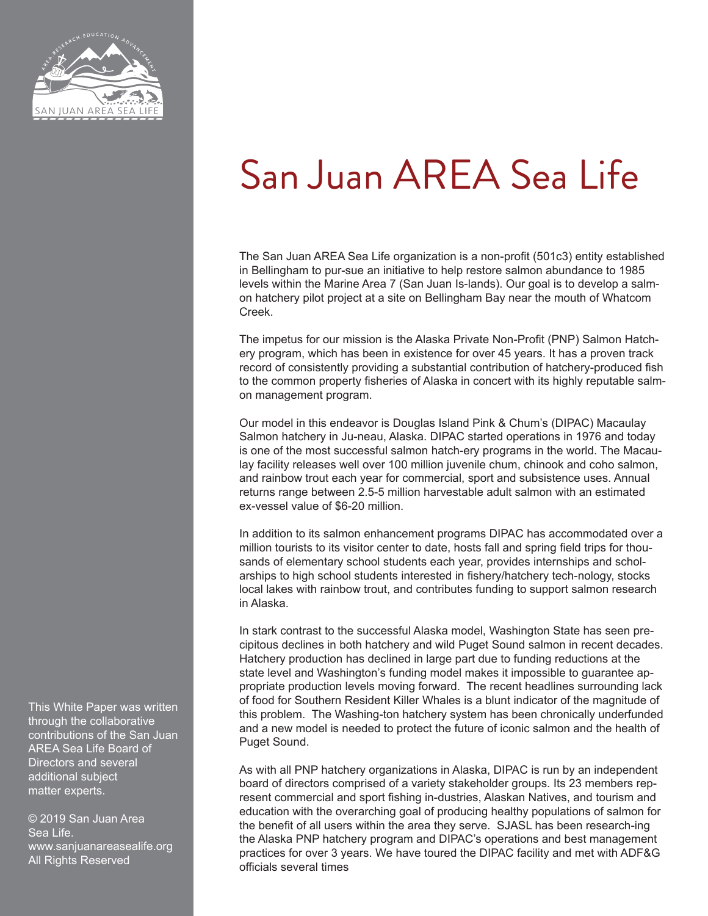

# San Juan AREA Sea Life

The San Juan AREA Sea Life organization is a non-profit (501c3) entity established in Bellingham to pur-sue an initiative to help restore salmon abundance to 1985 levels within the Marine Area 7 (San Juan Is-lands). Our goal is to develop a salmon hatchery pilot project at a site on Bellingham Bay near the mouth of Whatcom Creek.

The impetus for our mission is the Alaska Private Non-Profit (PNP) Salmon Hatchery program, which has been in existence for over 45 years. It has a proven track record of consistently providing a substantial contribution of hatchery-produced fish to the common property fisheries of Alaska in concert with its highly reputable salmon management program.

Our model in this endeavor is Douglas Island Pink & Chum's (DIPAC) Macaulay Salmon hatchery in Ju-neau, Alaska. DIPAC started operations in 1976 and today is one of the most successful salmon hatch-ery programs in the world. The Macaulay facility releases well over 100 million juvenile chum, chinook and coho salmon, and rainbow trout each year for commercial, sport and subsistence uses. Annual returns range between 2.5-5 million harvestable adult salmon with an estimated ex-vessel value of \$6-20 million.

In addition to its salmon enhancement programs DIPAC has accommodated over a million tourists to its visitor center to date, hosts fall and spring field trips for thousands of elementary school students each year, provides internships and scholarships to high school students interested in fishery/hatchery tech-nology, stocks local lakes with rainbow trout, and contributes funding to support salmon research in Alaska.

In stark contrast to the successful Alaska model, Washington State has seen precipitous declines in both hatchery and wild Puget Sound salmon in recent decades. Hatchery production has declined in large part due to funding reductions at the state level and Washington's funding model makes it impossible to guarantee appropriate production levels moving forward. The recent headlines surrounding lack of food for Southern Resident Killer Whales is a blunt indicator of the magnitude of this problem. The Washing-ton hatchery system has been chronically underfunded and a new model is needed to protect the future of iconic salmon and the health of Puget Sound.

As with all PNP hatchery organizations in Alaska, DIPAC is run by an independent board of directors comprised of a variety stakeholder groups. Its 23 members represent commercial and sport fishing in-dustries, Alaskan Natives, and tourism and education with the overarching goal of producing healthy populations of salmon for the benefit of all users within the area they serve. SJASL has been research-ing the Alaska PNP hatchery program and DIPAC's operations and best management practices for over 3 years. We have toured the DIPAC facility and met with ADF&G officials several times

This White Paper was written through the collaborative contributions of the San Juan AREA Sea Life Board of Directors and several additional subject matter experts.

© 2019 San Juan Area Sea Life. www.sanjuanareasealife.org All Rights Reserved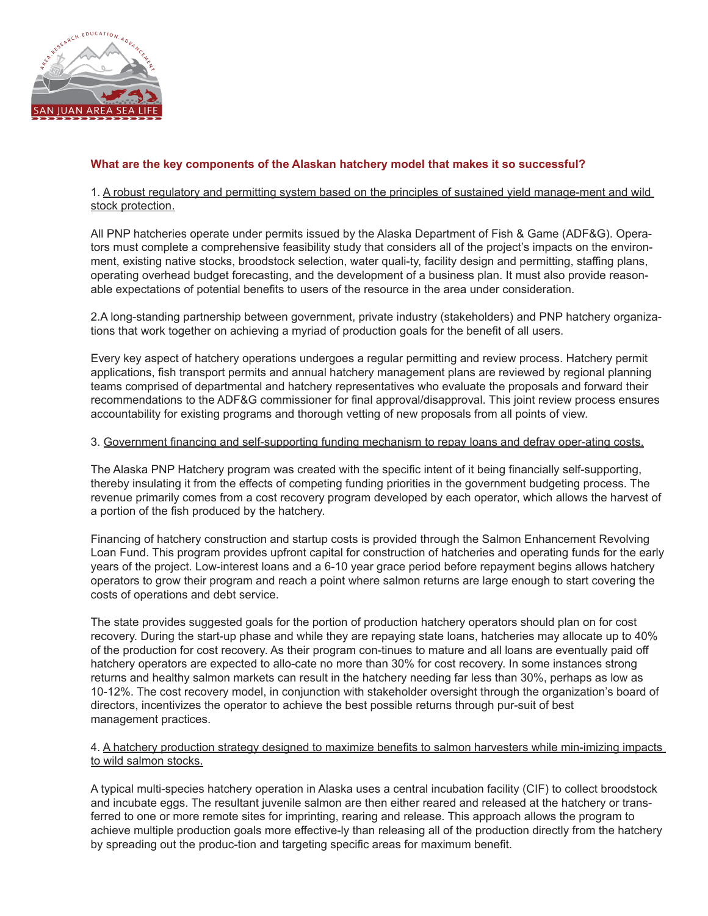

# **What are the key components of the Alaskan hatchery model that makes it so successful?**

## 1. A robust regulatory and permitting system based on the principles of sustained yield manage-ment and wild stock protection.

All PNP hatcheries operate under permits issued by the Alaska Department of Fish & Game (ADF&G). Operators must complete a comprehensive feasibility study that considers all of the project's impacts on the environment, existing native stocks, broodstock selection, water quali-ty, facility design and permitting, staffing plans, operating overhead budget forecasting, and the development of a business plan. It must also provide reasonable expectations of potential benefits to users of the resource in the area under consideration.

2.A long-standing partnership between government, private industry (stakeholders) and PNP hatchery organizations that work together on achieving a myriad of production goals for the benefit of all users.

Every key aspect of hatchery operations undergoes a regular permitting and review process. Hatchery permit applications, fish transport permits and annual hatchery management plans are reviewed by regional planning teams comprised of departmental and hatchery representatives who evaluate the proposals and forward their recommendations to the ADF&G commissioner for final approval/disapproval. This joint review process ensures accountability for existing programs and thorough vetting of new proposals from all points of view.

#### 3. Government financing and self-supporting funding mechanism to repay loans and defray oper-ating costs.

The Alaska PNP Hatchery program was created with the specific intent of it being financially self-supporting, thereby insulating it from the effects of competing funding priorities in the government budgeting process. The revenue primarily comes from a cost recovery program developed by each operator, which allows the harvest of a portion of the fish produced by the hatchery.

Financing of hatchery construction and startup costs is provided through the Salmon Enhancement Revolving Loan Fund. This program provides upfront capital for construction of hatcheries and operating funds for the early years of the project. Low-interest loans and a 6-10 year grace period before repayment begins allows hatchery operators to grow their program and reach a point where salmon returns are large enough to start covering the costs of operations and debt service.

The state provides suggested goals for the portion of production hatchery operators should plan on for cost recovery. During the start-up phase and while they are repaying state loans, hatcheries may allocate up to 40% of the production for cost recovery. As their program con-tinues to mature and all loans are eventually paid off hatchery operators are expected to allo-cate no more than 30% for cost recovery. In some instances strong returns and healthy salmon markets can result in the hatchery needing far less than 30%, perhaps as low as 10-12%. The cost recovery model, in conjunction with stakeholder oversight through the organization's board of directors, incentivizes the operator to achieve the best possible returns through pur-suit of best management practices.

## 4. A hatchery production strategy designed to maximize benefits to salmon harvesters while min-imizing impacts to wild salmon stocks.

A typical multi-species hatchery operation in Alaska uses a central incubation facility (CIF) to collect broodstock and incubate eggs. The resultant juvenile salmon are then either reared and released at the hatchery or transferred to one or more remote sites for imprinting, rearing and release. This approach allows the program to achieve multiple production goals more effective-ly than releasing all of the production directly from the hatchery by spreading out the produc-tion and targeting specific areas for maximum benefit.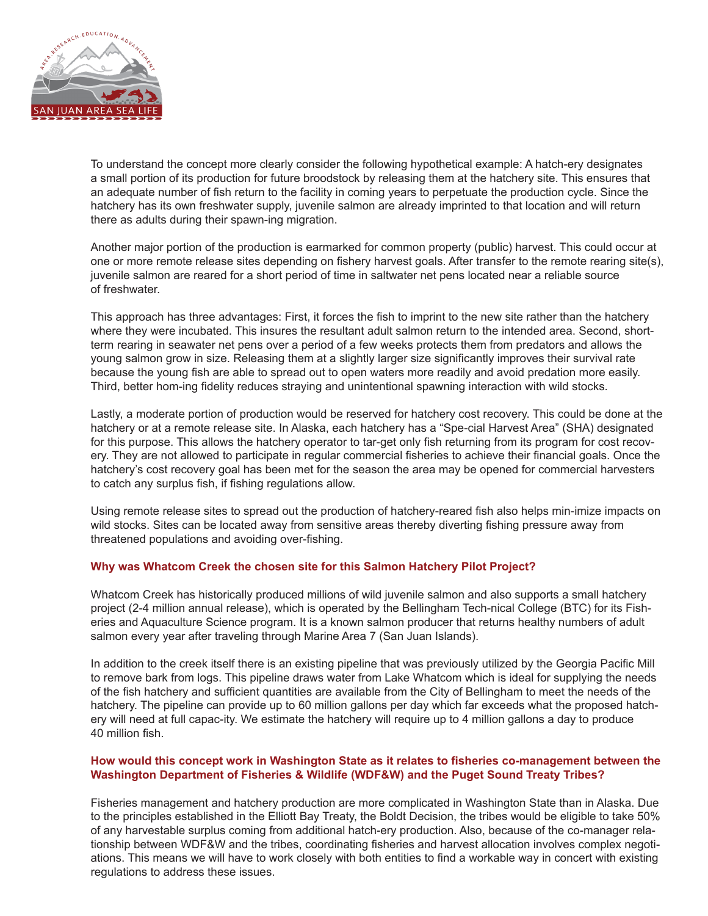

To understand the concept more clearly consider the following hypothetical example: A hatch-ery designates a small portion of its production for future broodstock by releasing them at the hatchery site. This ensures that an adequate number of fish return to the facility in coming years to perpetuate the production cycle. Since the hatchery has its own freshwater supply, juvenile salmon are already imprinted to that location and will return there as adults during their spawn-ing migration.

Another major portion of the production is earmarked for common property (public) harvest. This could occur at one or more remote release sites depending on fishery harvest goals. After transfer to the remote rearing site(s), juvenile salmon are reared for a short period of time in saltwater net pens located near a reliable source of freshwater.

This approach has three advantages: First, it forces the fish to imprint to the new site rather than the hatchery where they were incubated. This insures the resultant adult salmon return to the intended area. Second, shortterm rearing in seawater net pens over a period of a few weeks protects them from predators and allows the young salmon grow in size. Releasing them at a slightly larger size significantly improves their survival rate because the young fish are able to spread out to open waters more readily and avoid predation more easily. Third, better hom-ing fidelity reduces straying and unintentional spawning interaction with wild stocks.

Lastly, a moderate portion of production would be reserved for hatchery cost recovery. This could be done at the hatchery or at a remote release site. In Alaska, each hatchery has a "Spe-cial Harvest Area" (SHA) designated for this purpose. This allows the hatchery operator to tar-get only fish returning from its program for cost recovery. They are not allowed to participate in regular commercial fisheries to achieve their financial goals. Once the hatchery's cost recovery goal has been met for the season the area may be opened for commercial harvesters to catch any surplus fish, if fishing regulations allow.

Using remote release sites to spread out the production of hatchery-reared fish also helps min-imize impacts on wild stocks. Sites can be located away from sensitive areas thereby diverting fishing pressure away from threatened populations and avoiding over-fishing.

# **Why was Whatcom Creek the chosen site for this Salmon Hatchery Pilot Project?**

Whatcom Creek has historically produced millions of wild juvenile salmon and also supports a small hatchery project (2-4 million annual release), which is operated by the Bellingham Tech-nical College (BTC) for its Fisheries and Aquaculture Science program. It is a known salmon producer that returns healthy numbers of adult salmon every year after traveling through Marine Area 7 (San Juan Islands).

In addition to the creek itself there is an existing pipeline that was previously utilized by the Georgia Pacific Mill to remove bark from logs. This pipeline draws water from Lake Whatcom which is ideal for supplying the needs of the fish hatchery and sufficient quantities are available from the City of Bellingham to meet the needs of the hatchery. The pipeline can provide up to 60 million gallons per day which far exceeds what the proposed hatchery will need at full capac-ity. We estimate the hatchery will require up to 4 million gallons a day to produce 40 million fish.

#### **How would this concept work in Washington State as it relates to fisheries co-management between the Washington Department of Fisheries & Wildlife (WDF&W) and the Puget Sound Treaty Tribes?**

Fisheries management and hatchery production are more complicated in Washington State than in Alaska. Due to the principles established in the Elliott Bay Treaty, the Boldt Decision, the tribes would be eligible to take 50% of any harvestable surplus coming from additional hatch-ery production. Also, because of the co-manager relationship between WDF&W and the tribes, coordinating fisheries and harvest allocation involves complex negotiations. This means we will have to work closely with both entities to find a workable way in concert with existing regulations to address these issues.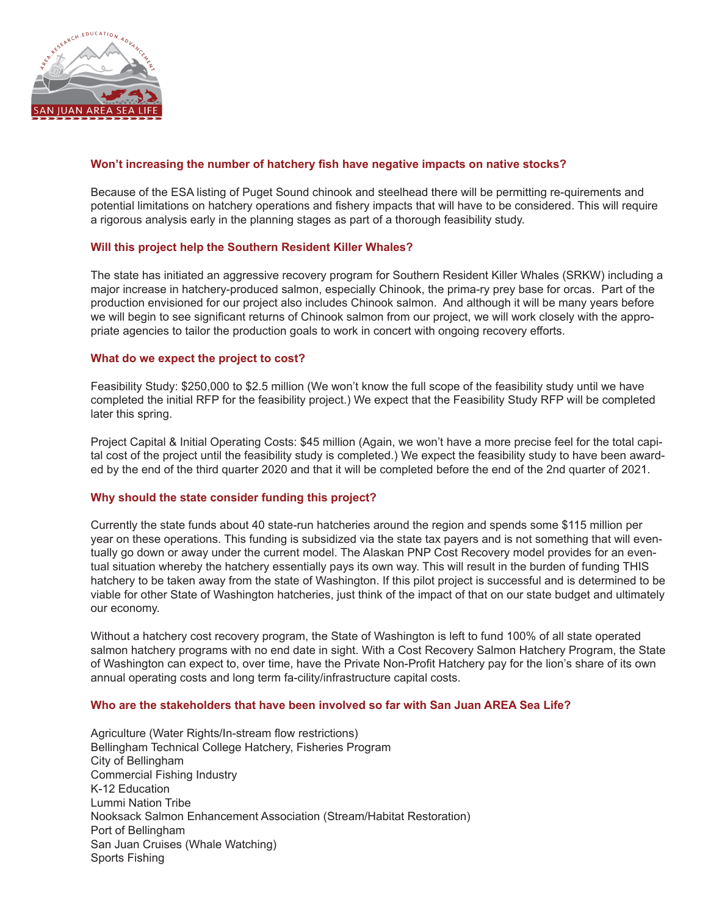

## **Won't increasing the number of hatchery fish have negative impacts on native stocks?**

Because of the ESA listing of Puget Sound chinook and steelhead there will be permitting re-quirements and potential limitations on hatchery operations and fishery impacts that will have to be considered. This will require a rigorous analysis early in the planning stages as part of a thorough feasibility study.

#### **Will this project help the Southern Resident Killer Whales?**

The state has initiated an aggressive recovery program for Southern Resident Killer Whales (SRKW) including a major increase in hatchery-produced salmon, especially Chinook, the prima-ry prey base for orcas. Part of the production envisioned for our project also includes Chinook salmon. And although it will be many years before we will begin to see significant returns of Chinook salmon from our project, we will work closely with the appropriate agencies to tailor the production goals to work in concert with ongoing recovery efforts.

#### **What do we expect the project to cost?**

Feasibility Study: \$250,000 to \$2.5 million (We won't know the full scope of the feasibility study until we have completed the initial RFP for the feasibility project.) We expect that the Feasibility Study RFP will be completed later this spring.

Project Capital & Initial Operating Costs: \$45 million (Again, we won't have a more precise feel for the total capital cost of the project until the feasibility study is completed.) We expect the feasibility study to have been awarded by the end of the third quarter 2020 and that it will be completed before the end of the 2nd quarter of 2021.

#### **Why should the state consider funding this project?**

Currently the state funds about 40 state-run hatcheries around the region and spends some \$115 million per year on these operations. This funding is subsidized via the state tax payers and is not something that will eventually go down or away under the current model. The Alaskan PNP Cost Recovery model provides for an eventual situation whereby the hatchery essentially pays its own way. This will result in the burden of funding THIS hatchery to be taken away from the state of Washington. If this pilot project is successful and is determined to be viable for other State of Washington hatcheries, just think of the impact of that on our state budget and ultimately our economy.

Without a hatchery cost recovery program, the State of Washington is left to fund 100% of all state operated salmon hatchery programs with no end date in sight. With a Cost Recovery Salmon Hatchery Program, the State of Washington can expect to, over time, have the Private Non-Profit Hatchery pay for the lion's share of its own annual operating costs and long term fa-cility/infrastructure capital costs.

#### **Who are the stakeholders that have been involved so far with San Juan AREA Sea Life?**

Agriculture (Water Rights/In-stream flow restrictions) Bellingham Technical College Hatchery, Fisheries Program City of Bellingham Commercial Fishing Industry K-12 Education Lummi Nation Tribe Nooksack Salmon Enhancement Association (Stream/Habitat Restoration) Port of Bellingham San Juan Cruises (Whale Watching) Sports Fishing